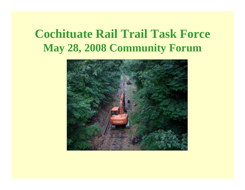## **Cochituate Rail Trail Task Force May 28, 2008 Community Forum**

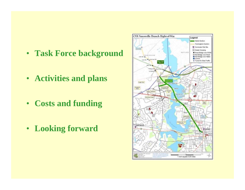- **Task Force background**
- **Activities and plans**
- **Costs and funding**
- **Looking forward**

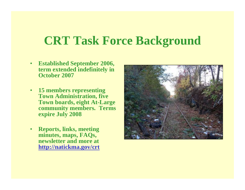### **CRT Task Force Background**

- • **Established September 2006, term extended indefinitely in October 2007**
- • **15 members representing Town Administration, five Town boards, eight At-Large community members. Terms expire July 2008**
- • **Reports, links, meeting minutes, maps, FAQs, newsletter and more at http://natickma.gov/crt**

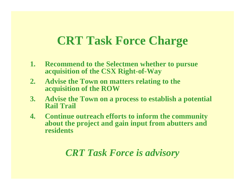### **CRT Task Force Charge**

- **1. Recommend to the Selectmen whether to pursue acquisition of the CSX Right-of-Way**
- **2. Advise the Town on matters relating to the acquisition of the ROW**
- **3. Advise the Town on a process to establish a potential Rail Trail**
- **4. Continue outreach efforts to inform the community about the project and gain input from abutters and residents**

#### *CRT Task Force is advisory*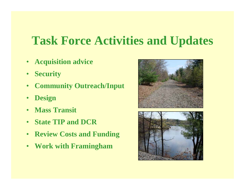## **Task Force Activities and Updates**

- **Acquisition advice**
- $\bullet$ **Security**
- $\bullet$ **Community Outreach/Input**
- •**Design**
- $\bullet$ **Mass Transit**
- •**State TIP and DCR**
- $\bullet$ **Review Costs and Funding**
- •**Work with Framingham**



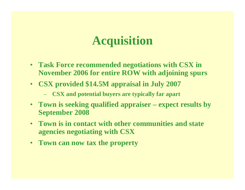## **Acquisition**

- **Task Force recommended negotiations with CSX in November 2006 for entire ROW with adjoining spurs**
- **CSX provided \$14.5M appraisal in July 2007**
	- **CSX and potential buyers are typically far apart**
- **Town is seeking qualified appraiser – expect results by September 2008**
- **Town is in contact with other communities and state agencies negotiating with CSX**
- **Town can now tax the property**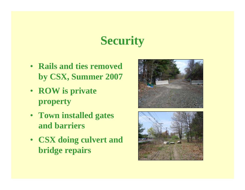# **Security**

- **Rails and ties removed by CSX, Summer 2007**
- **ROW is private property**
- **Town installed gates and barriers**
- **CSX doing culvert and bridge repairs**



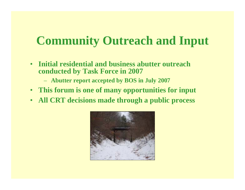## **Community Outreach and Input**

- $\bullet$  **Initial residential and business abutter outreach conducted by Task Force in 2007**
	- **Abutter report accepted by BOS in July 2007**
- **This forum is one of many opportunities for input**
- •**All CRT decisions made through a public process**

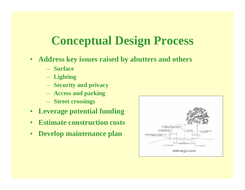## **Conceptual Design Process**

- $\bullet$  **Address key issues raised by abutters and others** 
	- **Surface**
	- **Lighting**
	- **Security and privacy**
	- **Access and parking**
	- **Street crossings**
- •**Leverage potential funding**
- •**Estimate construction costs**
- •**Develop maintenance plan**

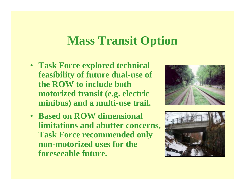#### **Mass Transit Option**

- **Task Force explored technical feasibility of future dual-use of the ROW to include both motorized transit (e.g. electric minibus) and a multi-use trail.**
- **Based on ROW dimensional limitations and abutter concerns, Task Force recommended only non-motorized uses for the foreseeable future.**



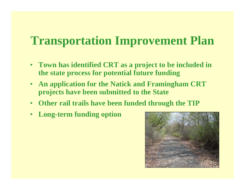## **Transportation Improvement Plan**

- **Town has identified CRT as a project to be included in the state process for potential future funding**
- • **An application for the Natick and Framingham CRT projects have been submitted to the State**
- **Other rail trails have been funded through the TIP**
- •**Long-term funding option**

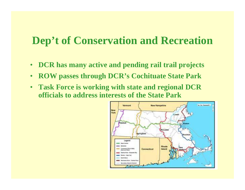#### **Dep't of Conservation and Recreation**

- •**DCR has many active and pending rail trail projects**
- $\bullet$ **ROW passes through DCR's Cochituate State Park**
- **Task Force is working with state and regional DCR officials to address interests of the State Park**

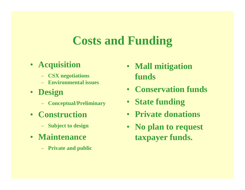## **Costs and Funding**

#### • **Acquisition**

- **CSX negotiations**
- **Environmental issues**
- **Design**
	- **Conceptual/Preliminary**
- **Construction**
	- **Subject to design**
- **Maintenance**
	- **Private and public**
- **Mall mitigation funds**
- **Conservation funds**
- **State funding**
- **Private donations**
- **No plan to request taxpayer funds.**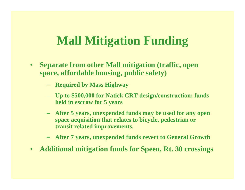## **Mall Mitigation Funding**

- $\bullet$  **Separate from other Mall mitigation (traffic, open space, affordable housing, public safety)**
	- **Required by Mass Highway**
	- **Up to \$500,000 for Natick CRT design/construction; funds held in escrow for 5 years**
	- **After 5 years, unexpended funds may be used for any open space acquisition that relates to bicycle, pedestrian or transit related improvements.**
	- **After 7 years, unexpended funds revert to General Growth**
- •**Additional mitigation funds for Speen, Rt. 30 crossings**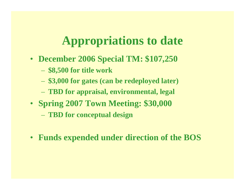# **Appropriations to date**

- **December 2006 Special TM: \$107,250**
	- **\$8,500 for title work**
	- **\$3,000 for gates (can be redeployed later)**
	- **TBD for appraisal, environmental, legal**
- **Spring 2007 Town Meeting: \$30,000**
	- **TBD for conceptual design**
- **Funds expended under direction of the BOS**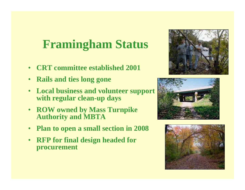## **Framingham Status**

- •**CRT committee established 2001**
- •**Rails and ties long gone**
- • **Local business and volunteer support with regular clean-up days**
- $\bullet$  **ROW owned by Mass Turnpike Authority and MBTA**
- •**Plan to open a small section in 2008**
- $\bullet$  **RFP for final design headed for procurement**